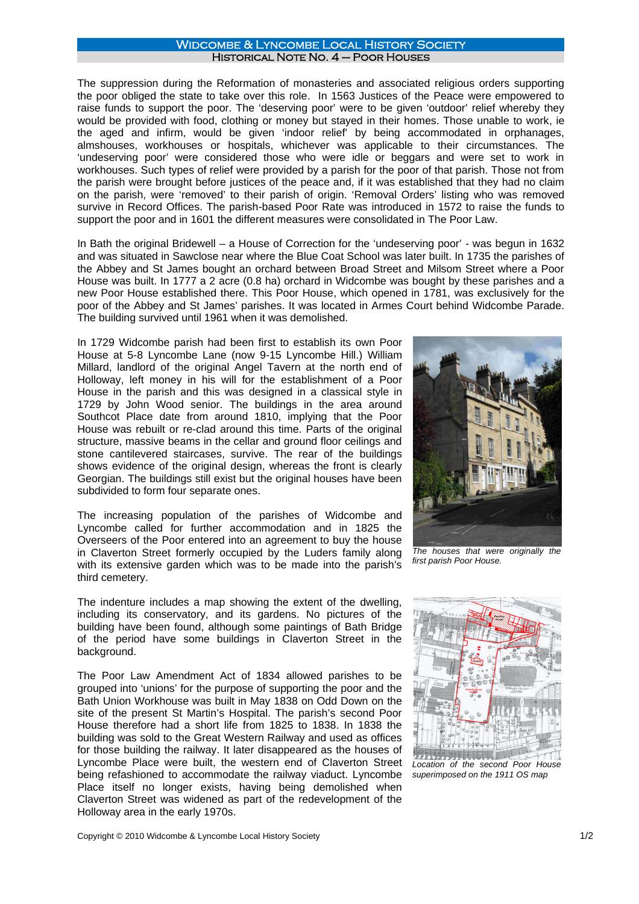## Widcombe & Lyncombe Local History Society Historical Note No. 4 – Poor Houses

The suppression during the Reformation of monasteries and associated religious orders supporting the poor obliged the state to take over this role. In 1563 Justices of the Peace were empowered to raise funds to support the poor. The 'deserving poor' were to be given 'outdoor' relief whereby they would be provided with food, clothing or money but stayed in their homes. Those unable to work, ie the aged and infirm, would be given 'indoor relief' by being accommodated in orphanages, almshouses, workhouses or hospitals, whichever was applicable to their circumstances. The 'undeserving poor' were considered those who were idle or beggars and were set to work in workhouses. Such types of relief were provided by a parish for the poor of that parish. Those not from the parish were brought before justices of the peace and, if it was established that they had no claim on the parish, were 'removed' to their parish of origin. 'Removal Orders' listing who was removed survive in Record Offices. The parish-based Poor Rate was introduced in 1572 to raise the funds to support the poor and in 1601 the different measures were consolidated in The Poor Law.

In Bath the original Bridewell – a House of Correction for the 'undeserving poor' - was begun in 1632 and was situated in Sawclose near where the Blue Coat School was later built. In 1735 the parishes of the Abbey and St James bought an orchard between Broad Street and Milsom Street where a Poor House was built. In 1777 a 2 acre (0.8 ha) orchard in Widcombe was bought by these parishes and a new Poor House established there. This Poor House, which opened in 1781, was exclusively for the poor of the Abbey and St James' parishes. It was located in Armes Court behind Widcombe Parade. The building survived until 1961 when it was demolished.

In 1729 Widcombe parish had been first to establish its own Poor House at 5-8 Lyncombe Lane (now 9-15 Lyncombe Hill.) William Millard, landlord of the original Angel Tavern at the north end of Holloway, left money in his will for the establishment of a Poor House in the parish and this was designed in a classical style in 1729 by John Wood senior. The buildings in the area around Southcot Place date from around 1810, implying that the Poor House was rebuilt or re-clad around this time. Parts of the original structure, massive beams in the cellar and ground floor ceilings and stone cantilevered staircases, survive. The rear of the buildings shows evidence of the original design, whereas the front is clearly Georgian. The buildings still exist but the original houses have been subdivided to form four separate ones.

The increasing population of the parishes of Widcombe and Lyncombe called for further accommodation and in 1825 the Overseers of the Poor entered into an agreement to buy the house in Claverton Street formerly occupied by the Luders family along with its extensive garden which was to be made into the parish's third cemetery.

The indenture includes a map showing the extent of the dwelling, including its conservatory, and its gardens. No pictures of the building have been found, although some paintings of Bath Bridge of the period have some buildings in Claverton Street in the background.

The Poor Law Amendment Act of 1834 allowed parishes to be grouped into 'unions' for the purpose of supporting the poor and the Bath Union Workhouse was built in May 1838 on Odd Down on the site of the present St Martin's Hospital. The parish's second Poor House therefore had a short life from 1825 to 1838. In 1838 the building was sold to the Great Western Railway and used as offices for those building the railway. It later disappeared as the houses of Lyncombe Place were built, the western end of Claverton Street being refashioned to accommodate the railway viaduct. Lyncombe Place itself no longer exists, having being demolished when Claverton Street was widened as part of the redevelopment of the Holloway area in the early 1970s.



*The houses that were originally the first parish Poor House.*



*Location of the second Poor House superimposed on the 1911 OS map*

Copyright © 2010 Widcombe & Lyncombe Local History Society 1/2